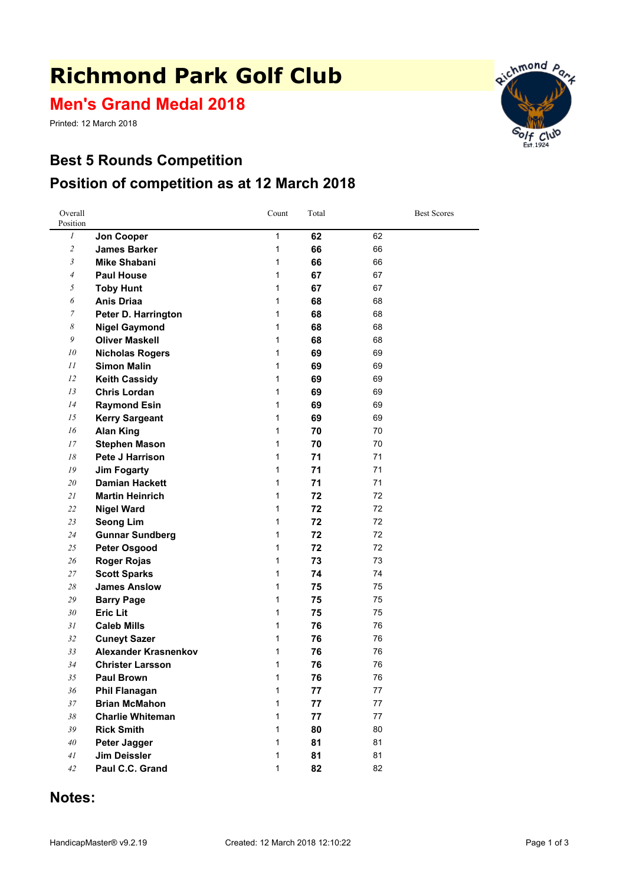# **Richmond Park Golf Club**

**Men's Grand Medal 2018**

Printed: 12 March 2018

### **Best 5 Rounds Competition Position of competition as at 12 March 2018**





#### **Notes:**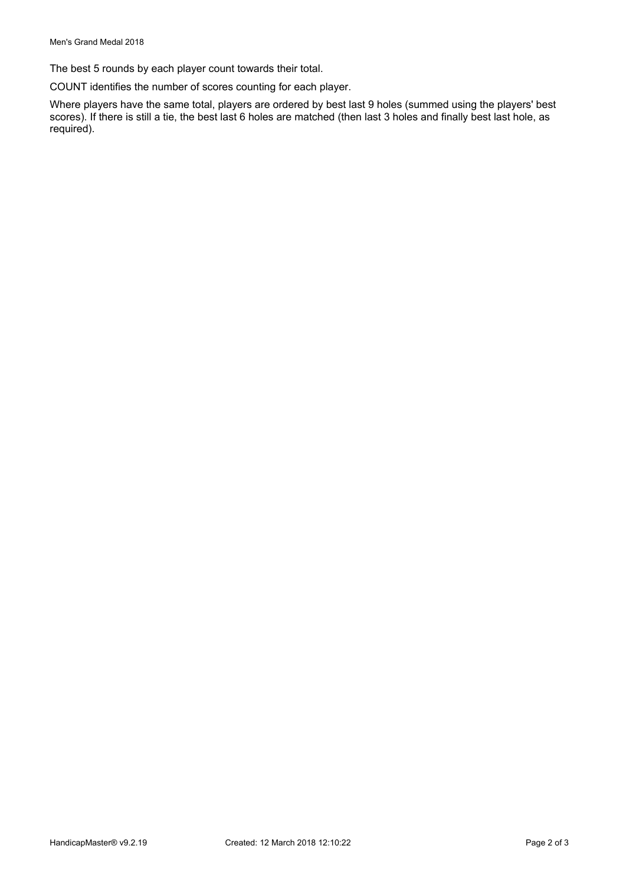The best 5 rounds by each player count towards their total.

COUNT identifies the number of scores counting for each player.

Where players have the same total, players are ordered by best last 9 holes (summed using the players' best scores). If there is still <sup>a</sup> tie, the best last 6 holes are matched (then last 3 holes and finally best last hole, as required).